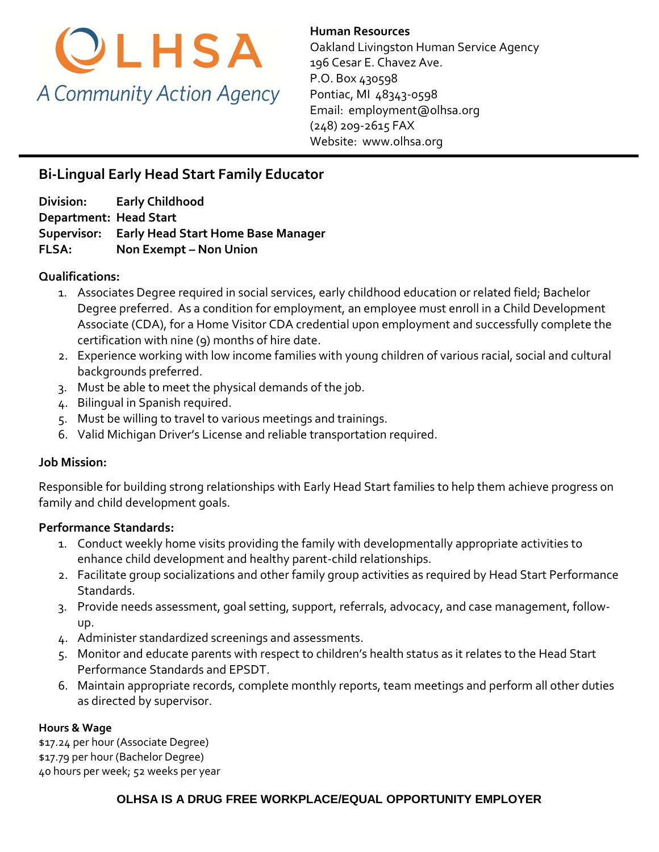

**Human Resources**  Oakland Livingston Human Service Agency 196 Cesar E. Chavez Ave. P.O. Box 430598 Pontiac, MI 48343-0598 Email: [employment@olhsa.org](mailto:Careers@olhsa.org) (248) 209-2615 FAX Website: www.olhsa.org

# **Bi-Lingual Early Head Start Family Educator**

**Division: Early Childhood Department: Head Start Supervisor: Early Head Start Home Base Manager FLSA:** Non Exempt – Non Union

### **Qualifications:**

- 1. Associates Degree required in social services, early childhood education or related field; Bachelor Degree preferred. As a condition for employment, an employee must enroll in a Child Development Associate (CDA), for a Home Visitor CDA credential upon employment and successfully complete the certification with nine (9) months of hire date.
- 2. Experience working with low income families with young children of various racial, social and cultural backgrounds preferred.
- 3. Must be able to meet the physical demands of the job.
- 4. Bilingual in Spanish required.
- 5. Must be willing to travel to various meetings and trainings.
- 6. Valid Michigan Driver's License and reliable transportation required.

# **Job Mission:**

Responsible for building strong relationships with Early Head Start families to help them achieve progress on family and child development goals.

# **Performance Standards:**

- 1. Conduct weekly home visits providing the family with developmentally appropriate activities to enhance child development and healthy parent-child relationships.
- 2. Facilitate group socializations and other family group activities as required by Head Start Performance Standards.
- 3. Provide needs assessment, goal setting, support, referrals, advocacy, and case management, followup.
- 4. Administer standardized screenings and assessments.
- 5. Monitor and educate parents with respect to children's health status as it relates to the Head Start Performance Standards and EPSDT.
- 6. Maintain appropriate records, complete monthly reports, team meetings and perform all other duties as directed by supervisor.

#### **Hours & Wage**

\$17.24 per hour (Associate Degree) \$17.79 per hour (Bachelor Degree) 40 hours per week; 52 weeks per year

# **OLHSA IS A DRUG FREE WORKPLACE/EQUAL OPPORTUNITY EMPLOYER**